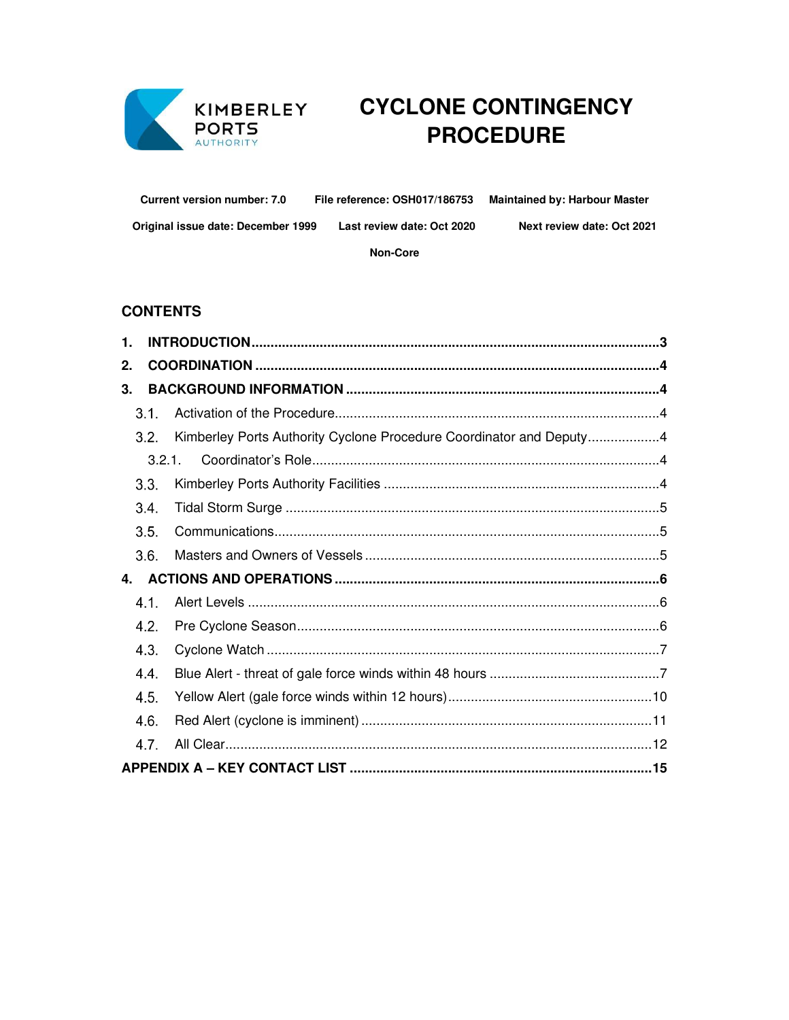

# KIMBERLEY CYCLONE CONTINGENCY **PROCEDURE**

**Current version number: 7.0** File reference: OSH017/186753 **Maintained by: Harbour Master** 

Original issue date: December 1999

Last review date: Oct 2020

Next review date: Oct 2021

Non-Core

# **CONTENTS**

| 1.                                                                          |  |
|-----------------------------------------------------------------------------|--|
| 2.                                                                          |  |
| 3.                                                                          |  |
| 3.1.                                                                        |  |
| Kimberley Ports Authority Cyclone Procedure Coordinator and Deputy4<br>3.2. |  |
| 3.2.1.                                                                      |  |
| 3.3.                                                                        |  |
| 3.4.                                                                        |  |
| 3.5.                                                                        |  |
| 3.6.                                                                        |  |
| 4.                                                                          |  |
| 4.1.                                                                        |  |
| 4.2.                                                                        |  |
| 4.3.                                                                        |  |
| 4.4.                                                                        |  |
| 4.5.                                                                        |  |
| 4.6.                                                                        |  |
| 4.7.                                                                        |  |
|                                                                             |  |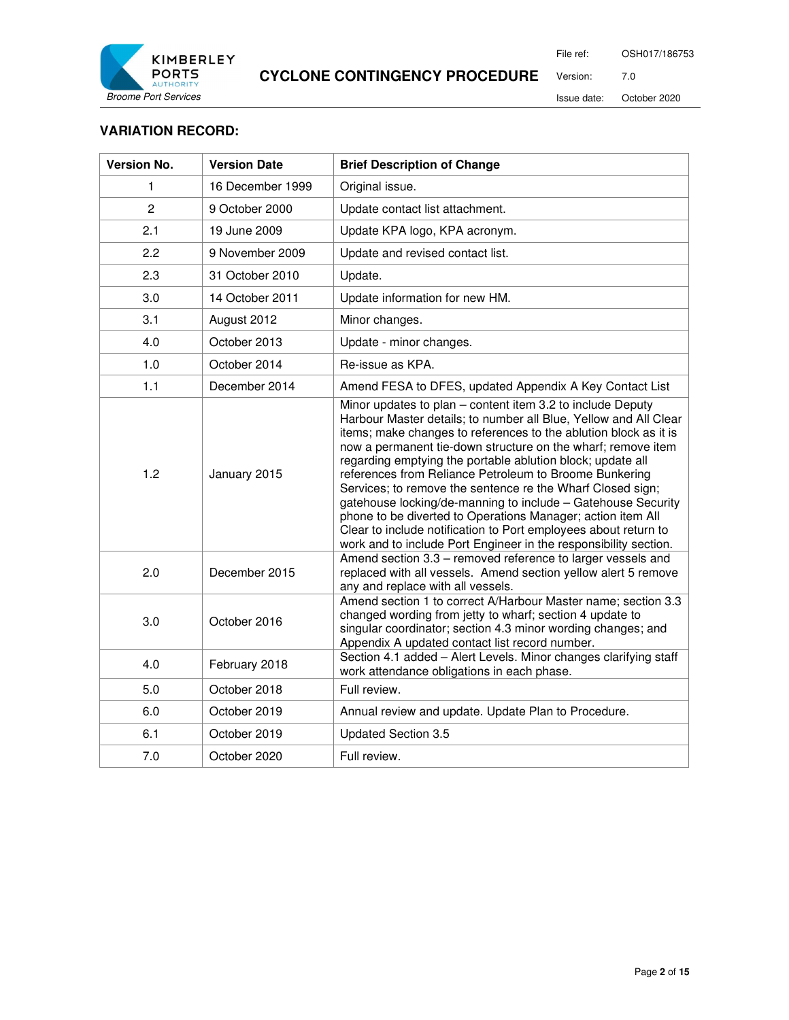

File ref: OSH017/186753

Version: 7.0

Issue date: October 2020

#### **VARIATION RECORD:**

| <b>Version No.</b> | <b>Version Date</b> | <b>Brief Description of Change</b>                                                                                                                                                                                                                                                                                                                                                                                                                                                                                                                                                                                                                                                                                             |
|--------------------|---------------------|--------------------------------------------------------------------------------------------------------------------------------------------------------------------------------------------------------------------------------------------------------------------------------------------------------------------------------------------------------------------------------------------------------------------------------------------------------------------------------------------------------------------------------------------------------------------------------------------------------------------------------------------------------------------------------------------------------------------------------|
| 1                  | 16 December 1999    | Original issue.                                                                                                                                                                                                                                                                                                                                                                                                                                                                                                                                                                                                                                                                                                                |
| $\overline{2}$     | 9 October 2000      | Update contact list attachment.                                                                                                                                                                                                                                                                                                                                                                                                                                                                                                                                                                                                                                                                                                |
| 2.1                | 19 June 2009        | Update KPA logo, KPA acronym.                                                                                                                                                                                                                                                                                                                                                                                                                                                                                                                                                                                                                                                                                                  |
| 2.2                | 9 November 2009     | Update and revised contact list.                                                                                                                                                                                                                                                                                                                                                                                                                                                                                                                                                                                                                                                                                               |
| 2.3                | 31 October 2010     | Update.                                                                                                                                                                                                                                                                                                                                                                                                                                                                                                                                                                                                                                                                                                                        |
| 3.0                | 14 October 2011     | Update information for new HM.                                                                                                                                                                                                                                                                                                                                                                                                                                                                                                                                                                                                                                                                                                 |
| 3.1                | August 2012         | Minor changes.                                                                                                                                                                                                                                                                                                                                                                                                                                                                                                                                                                                                                                                                                                                 |
| 4.0                | October 2013        | Update - minor changes.                                                                                                                                                                                                                                                                                                                                                                                                                                                                                                                                                                                                                                                                                                        |
| 1.0                | October 2014        | Re-issue as KPA.                                                                                                                                                                                                                                                                                                                                                                                                                                                                                                                                                                                                                                                                                                               |
| 1.1                | December 2014       | Amend FESA to DFES, updated Appendix A Key Contact List                                                                                                                                                                                                                                                                                                                                                                                                                                                                                                                                                                                                                                                                        |
| 1.2                | January 2015        | Minor updates to plan - content item 3.2 to include Deputy<br>Harbour Master details; to number all Blue, Yellow and All Clear<br>items; make changes to references to the ablution block as it is<br>now a permanent tie-down structure on the wharf; remove item<br>regarding emptying the portable ablution block; update all<br>references from Reliance Petroleum to Broome Bunkering<br>Services; to remove the sentence re the Wharf Closed sign;<br>gatehouse locking/de-manning to include - Gatehouse Security<br>phone to be diverted to Operations Manager; action item All<br>Clear to include notification to Port employees about return to<br>work and to include Port Engineer in the responsibility section. |
| 2.0                | December 2015       | Amend section 3.3 - removed reference to larger vessels and<br>replaced with all vessels. Amend section yellow alert 5 remove<br>any and replace with all vessels.                                                                                                                                                                                                                                                                                                                                                                                                                                                                                                                                                             |
| 3.0                | October 2016        | Amend section 1 to correct A/Harbour Master name; section 3.3<br>changed wording from jetty to wharf; section 4 update to<br>singular coordinator; section 4.3 minor wording changes; and<br>Appendix A updated contact list record number.                                                                                                                                                                                                                                                                                                                                                                                                                                                                                    |
| 4.0                | February 2018       | Section 4.1 added - Alert Levels. Minor changes clarifying staff<br>work attendance obligations in each phase.                                                                                                                                                                                                                                                                                                                                                                                                                                                                                                                                                                                                                 |
| 5.0                | October 2018        | Full review.                                                                                                                                                                                                                                                                                                                                                                                                                                                                                                                                                                                                                                                                                                                   |
| 6.0                | October 2019        | Annual review and update. Update Plan to Procedure.                                                                                                                                                                                                                                                                                                                                                                                                                                                                                                                                                                                                                                                                            |
| 6.1                | October 2019        | <b>Updated Section 3.5</b>                                                                                                                                                                                                                                                                                                                                                                                                                                                                                                                                                                                                                                                                                                     |
| 7.0                | October 2020        | Full review.                                                                                                                                                                                                                                                                                                                                                                                                                                                                                                                                                                                                                                                                                                                   |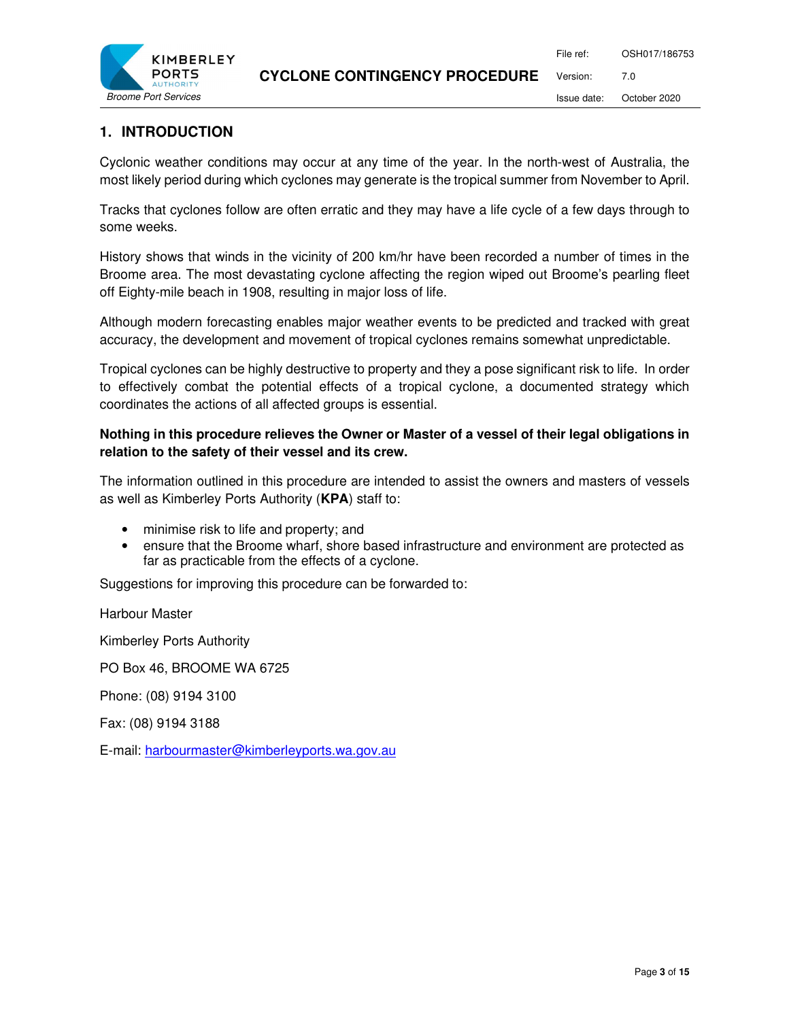

# **1. INTRODUCTION**

Cyclonic weather conditions may occur at any time of the year. In the north-west of Australia, the most likely period during which cyclones may generate is the tropical summer from November to April.

Tracks that cyclones follow are often erratic and they may have a life cycle of a few days through to some weeks.

History shows that winds in the vicinity of 200 km/hr have been recorded a number of times in the Broome area. The most devastating cyclone affecting the region wiped out Broome's pearling fleet off Eighty-mile beach in 1908, resulting in major loss of life.

Although modern forecasting enables major weather events to be predicted and tracked with great accuracy, the development and movement of tropical cyclones remains somewhat unpredictable.

Tropical cyclones can be highly destructive to property and they a pose significant risk to life. In order to effectively combat the potential effects of a tropical cyclone, a documented strategy which coordinates the actions of all affected groups is essential.

# **Nothing in this procedure relieves the Owner or Master of a vessel of their legal obligations in relation to the safety of their vessel and its crew.**

The information outlined in this procedure are intended to assist the owners and masters of vessels as well as Kimberley Ports Authority (**KPA**) staff to:

- minimise risk to life and property; and
- ensure that the Broome wharf, shore based infrastructure and environment are protected as far as practicable from the effects of a cyclone.

Suggestions for improving this procedure can be forwarded to:

Harbour Master

Kimberley Ports Authority

PO Box 46, BROOME WA 6725

Phone: (08) 9194 3100

Fax: (08) 9194 3188

E-mail: harbourmaster@kimberleyports.wa.gov.au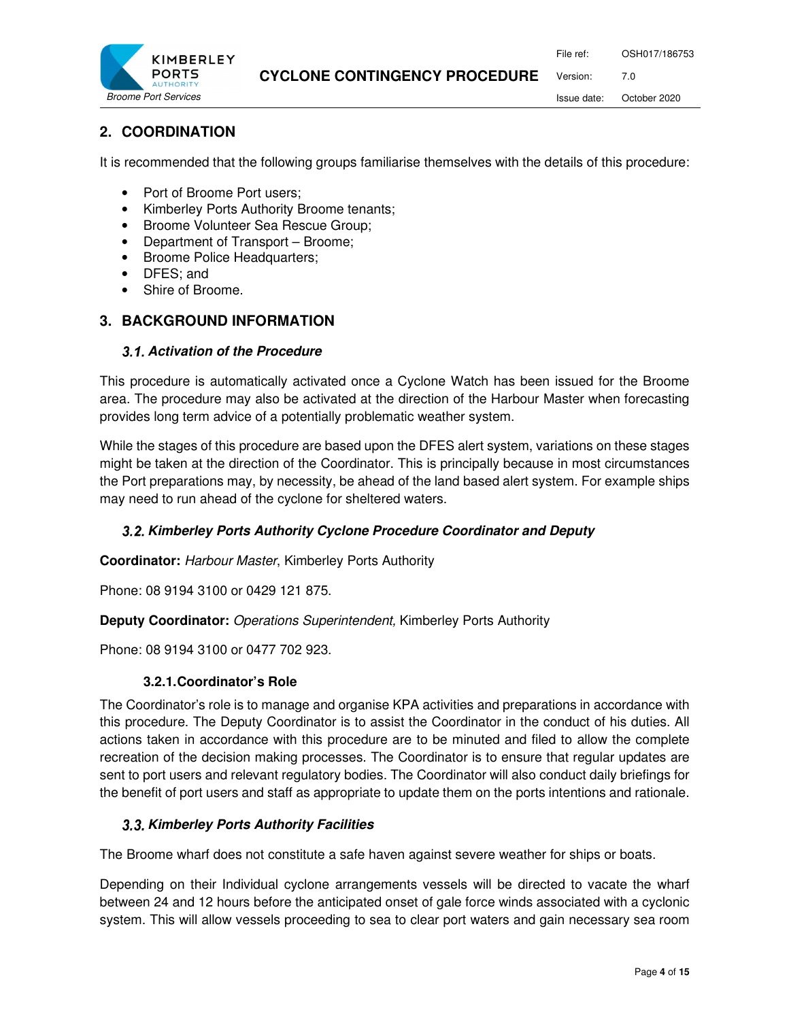File ref: OSH017/186753 Version: 7.0



# **2. COORDINATION**

It is recommended that the following groups familiarise themselves with the details of this procedure:

- Port of Broome Port users;
- Kimberley Ports Authority Broome tenants;
- Broome Volunteer Sea Rescue Group;
- Department of Transport Broome;
- Broome Police Headquarters;
- DFES; and
- Shire of Broome.

# **3. BACKGROUND INFORMATION**

#### **Activation of the Procedure**

This procedure is automatically activated once a Cyclone Watch has been issued for the Broome area. The procedure may also be activated at the direction of the Harbour Master when forecasting provides long term advice of a potentially problematic weather system.

While the stages of this procedure are based upon the DFES alert system, variations on these stages might be taken at the direction of the Coordinator. This is principally because in most circumstances the Port preparations may, by necessity, be ahead of the land based alert system. For example ships may need to run ahead of the cyclone for sheltered waters.

# **Kimberley Ports Authority Cyclone Procedure Coordinator and Deputy**

**Coordinator:** Harbour Master, Kimberley Ports Authority

Phone: 08 9194 3100 or 0429 121 875.

**Deputy Coordinator:** Operations Superintendent, Kimberley Ports Authority

Phone: 08 9194 3100 or 0477 702 923.

#### **3.2.1. Coordinator's Role**

The Coordinator's role is to manage and organise KPA activities and preparations in accordance with this procedure. The Deputy Coordinator is to assist the Coordinator in the conduct of his duties. All actions taken in accordance with this procedure are to be minuted and filed to allow the complete recreation of the decision making processes. The Coordinator is to ensure that regular updates are sent to port users and relevant regulatory bodies. The Coordinator will also conduct daily briefings for the benefit of port users and staff as appropriate to update them on the ports intentions and rationale.

# **3.3. Kimberley Ports Authority Facilities**

The Broome wharf does not constitute a safe haven against severe weather for ships or boats.

Depending on their Individual cyclone arrangements vessels will be directed to vacate the wharf between 24 and 12 hours before the anticipated onset of gale force winds associated with a cyclonic system. This will allow vessels proceeding to sea to clear port waters and gain necessary sea room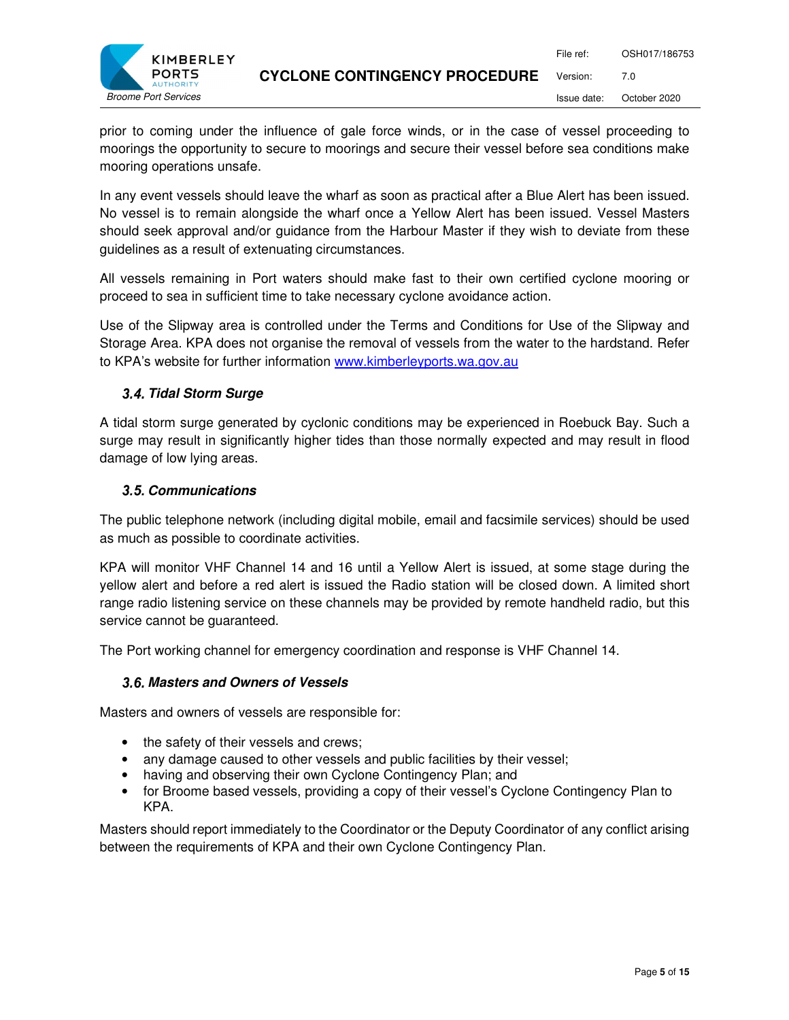

prior to coming under the influence of gale force winds, or in the case of vessel proceeding to moorings the opportunity to secure to moorings and secure their vessel before sea conditions make mooring operations unsafe.

In any event vessels should leave the wharf as soon as practical after a Blue Alert has been issued. No vessel is to remain alongside the wharf once a Yellow Alert has been issued. Vessel Masters should seek approval and/or guidance from the Harbour Master if they wish to deviate from these guidelines as a result of extenuating circumstances.

All vessels remaining in Port waters should make fast to their own certified cyclone mooring or proceed to sea in sufficient time to take necessary cyclone avoidance action.

Use of the Slipway area is controlled under the Terms and Conditions for Use of the Slipway and Storage Area. KPA does not organise the removal of vessels from the water to the hardstand. Refer to KPA's website for further information www.kimberleyports.wa.gov.au

# **Tidal Storm Surge**

A tidal storm surge generated by cyclonic conditions may be experienced in Roebuck Bay. Such a surge may result in significantly higher tides than those normally expected and may result in flood damage of low lying areas.

#### **Communications**

The public telephone network (including digital mobile, email and facsimile services) should be used as much as possible to coordinate activities.

KPA will monitor VHF Channel 14 and 16 until a Yellow Alert is issued, at some stage during the yellow alert and before a red alert is issued the Radio station will be closed down. A limited short range radio listening service on these channels may be provided by remote handheld radio, but this service cannot be guaranteed.

The Port working channel for emergency coordination and response is VHF Channel 14.

#### **Masters and Owners of Vessels**

Masters and owners of vessels are responsible for:

- the safety of their vessels and crews;
- any damage caused to other vessels and public facilities by their vessel;
- having and observing their own Cyclone Contingency Plan; and
- for Broome based vessels, providing a copy of their vessel's Cyclone Contingency Plan to KPA.

Masters should report immediately to the Coordinator or the Deputy Coordinator of any conflict arising between the requirements of KPA and their own Cyclone Contingency Plan.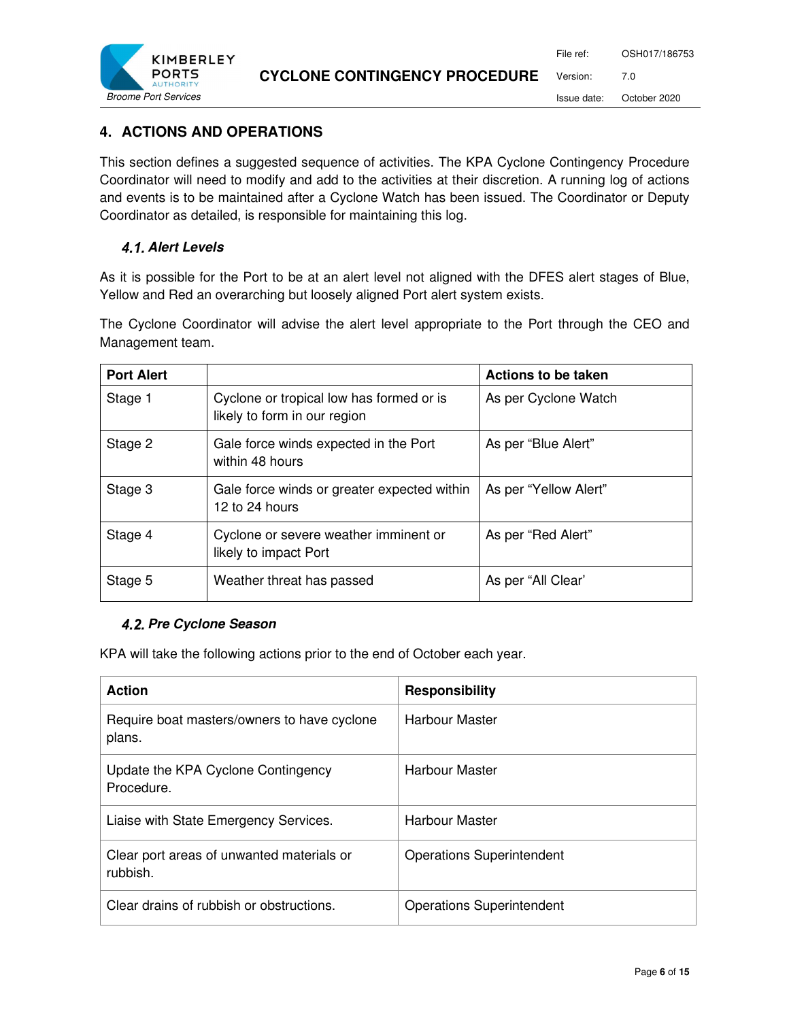

# **4. ACTIONS AND OPERATIONS**

This section defines a suggested sequence of activities. The KPA Cyclone Contingency Procedure Coordinator will need to modify and add to the activities at their discretion. A running log of actions and events is to be maintained after a Cyclone Watch has been issued. The Coordinator or Deputy Coordinator as detailed, is responsible for maintaining this log.

#### **Alert Levels**

As it is possible for the Port to be at an alert level not aligned with the DFES alert stages of Blue, Yellow and Red an overarching but loosely aligned Port alert system exists.

The Cyclone Coordinator will advise the alert level appropriate to the Port through the CEO and Management team.

| <b>Port Alert</b> |                                                                          | <b>Actions to be taken</b> |
|-------------------|--------------------------------------------------------------------------|----------------------------|
| Stage 1           | Cyclone or tropical low has formed or is<br>likely to form in our region | As per Cyclone Watch       |
| Stage 2           | Gale force winds expected in the Port<br>within 48 hours                 | As per "Blue Alert"        |
| Stage 3           | Gale force winds or greater expected within<br>12 to 24 hours            | As per "Yellow Alert"      |
| Stage 4           | Cyclone or severe weather imminent or<br>likely to impact Port           | As per "Red Alert"         |
| Stage 5           | Weather threat has passed                                                | As per "All Clear"         |

#### **4.2. Pre Cyclone Season**

KPA will take the following actions prior to the end of October each year.

| <b>Action</b>                                         | <b>Responsibility</b>            |
|-------------------------------------------------------|----------------------------------|
| Require boat masters/owners to have cyclone<br>plans. | Harbour Master                   |
| Update the KPA Cyclone Contingency<br>Procedure.      | Harbour Master                   |
| Liaise with State Emergency Services.                 | Harbour Master                   |
| Clear port areas of unwanted materials or<br>rubbish. | <b>Operations Superintendent</b> |
| Clear drains of rubbish or obstructions.              | <b>Operations Superintendent</b> |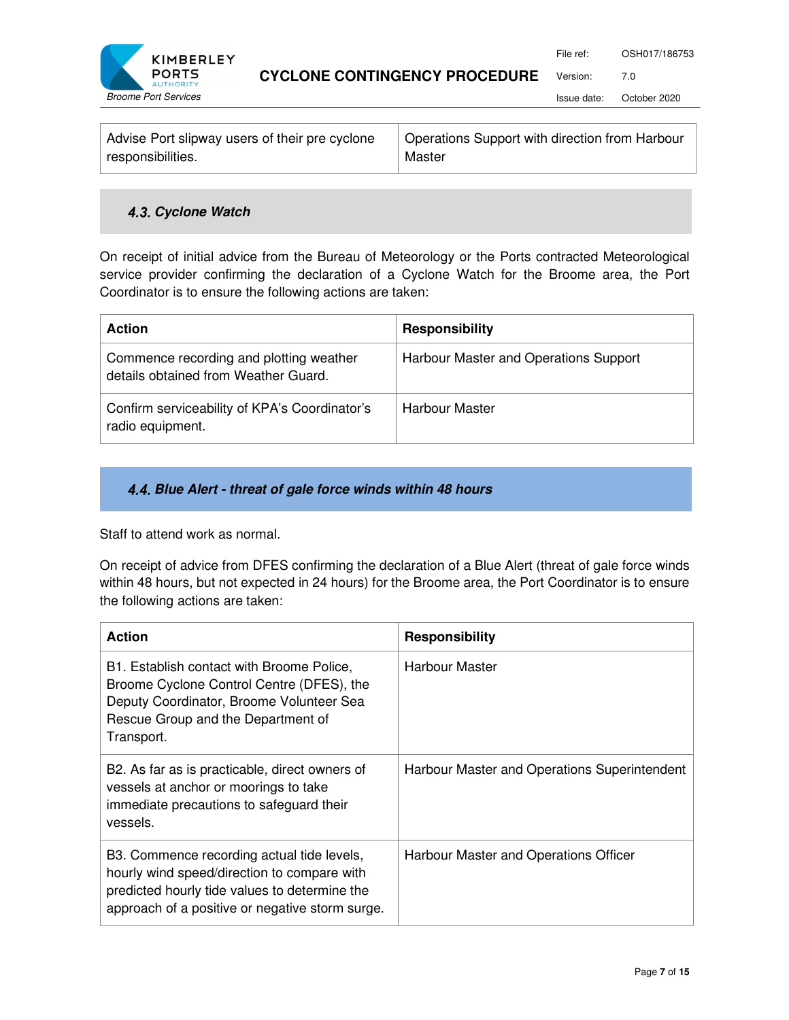

Version: 7.0

Issue date: October 2020

| Advise Port slipway users of their pre cyclone | Operations Support with direction from Harbour |
|------------------------------------------------|------------------------------------------------|
| responsibilities.                              | Master                                         |

# **4.3. Cyclone Watch**

On receipt of initial advice from the Bureau of Meteorology or the Ports contracted Meteorological service provider confirming the declaration of a Cyclone Watch for the Broome area, the Port Coordinator is to ensure the following actions are taken:

| <b>Action</b>                                                                   | <b>Responsibility</b>                 |
|---------------------------------------------------------------------------------|---------------------------------------|
| Commence recording and plotting weather<br>details obtained from Weather Guard. | Harbour Master and Operations Support |
| Confirm serviceability of KPA's Coordinator's<br>radio equipment.               | Harbour Master                        |

#### **Blue Alert - threat of gale force winds within 48 hours**

Staff to attend work as normal.

On receipt of advice from DFES confirming the declaration of a Blue Alert (threat of gale force winds within 48 hours, but not expected in 24 hours) for the Broome area, the Port Coordinator is to ensure the following actions are taken:

| <b>Action</b>                                                                                                                                                                                 | <b>Responsibility</b>                        |
|-----------------------------------------------------------------------------------------------------------------------------------------------------------------------------------------------|----------------------------------------------|
| B1. Establish contact with Broome Police,<br>Broome Cyclone Control Centre (DFES), the<br>Deputy Coordinator, Broome Volunteer Sea<br>Rescue Group and the Department of<br>Transport.        | Harbour Master                               |
| B2. As far as is practicable, direct owners of<br>vessels at anchor or moorings to take<br>immediate precautions to safeguard their<br>vessels.                                               | Harbour Master and Operations Superintendent |
| B3. Commence recording actual tide levels,<br>hourly wind speed/direction to compare with<br>predicted hourly tide values to determine the<br>approach of a positive or negative storm surge. | Harbour Master and Operations Officer        |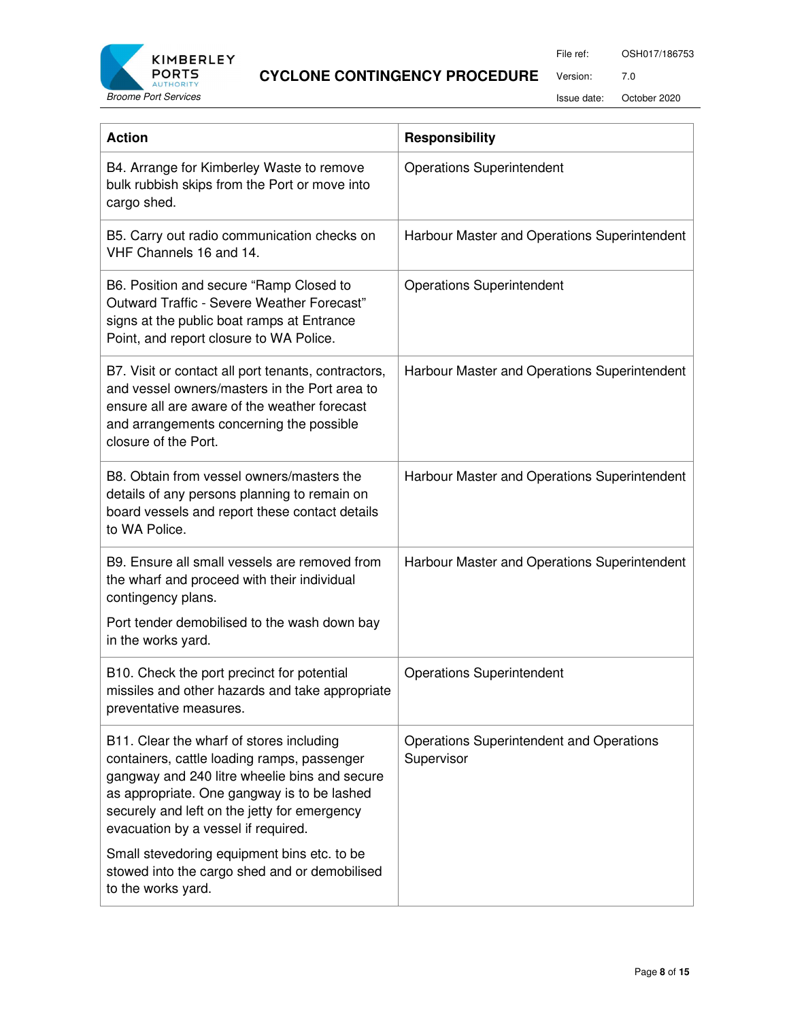

File ref: OSH017/186753

Version: 7.0

Issue date: October 2020

| <b>Action</b>                                                                                                                                                                                                                                                                                                                                                                                        | <b>Responsibility</b>                                  |
|------------------------------------------------------------------------------------------------------------------------------------------------------------------------------------------------------------------------------------------------------------------------------------------------------------------------------------------------------------------------------------------------------|--------------------------------------------------------|
| B4. Arrange for Kimberley Waste to remove<br>bulk rubbish skips from the Port or move into<br>cargo shed.                                                                                                                                                                                                                                                                                            | <b>Operations Superintendent</b>                       |
| B5. Carry out radio communication checks on<br>VHF Channels 16 and 14.                                                                                                                                                                                                                                                                                                                               | Harbour Master and Operations Superintendent           |
| B6. Position and secure "Ramp Closed to<br>Outward Traffic - Severe Weather Forecast"<br>signs at the public boat ramps at Entrance<br>Point, and report closure to WA Police.                                                                                                                                                                                                                       | <b>Operations Superintendent</b>                       |
| B7. Visit or contact all port tenants, contractors,<br>and vessel owners/masters in the Port area to<br>ensure all are aware of the weather forecast<br>and arrangements concerning the possible<br>closure of the Port.                                                                                                                                                                             | Harbour Master and Operations Superintendent           |
| B8. Obtain from vessel owners/masters the<br>details of any persons planning to remain on<br>board vessels and report these contact details<br>to WA Police.                                                                                                                                                                                                                                         | Harbour Master and Operations Superintendent           |
| B9. Ensure all small vessels are removed from<br>the wharf and proceed with their individual<br>contingency plans.<br>Port tender demobilised to the wash down bay<br>in the works yard.                                                                                                                                                                                                             | Harbour Master and Operations Superintendent           |
| B10. Check the port precinct for potential<br>missiles and other hazards and take appropriate<br>preventative measures.                                                                                                                                                                                                                                                                              | <b>Operations Superintendent</b>                       |
| B11. Clear the wharf of stores including<br>containers, cattle loading ramps, passenger<br>gangway and 240 litre wheelie bins and secure<br>as appropriate. One gangway is to be lashed<br>securely and left on the jetty for emergency<br>evacuation by a vessel if required.<br>Small stevedoring equipment bins etc. to be<br>stowed into the cargo shed and or demobilised<br>to the works yard. | Operations Superintendent and Operations<br>Supervisor |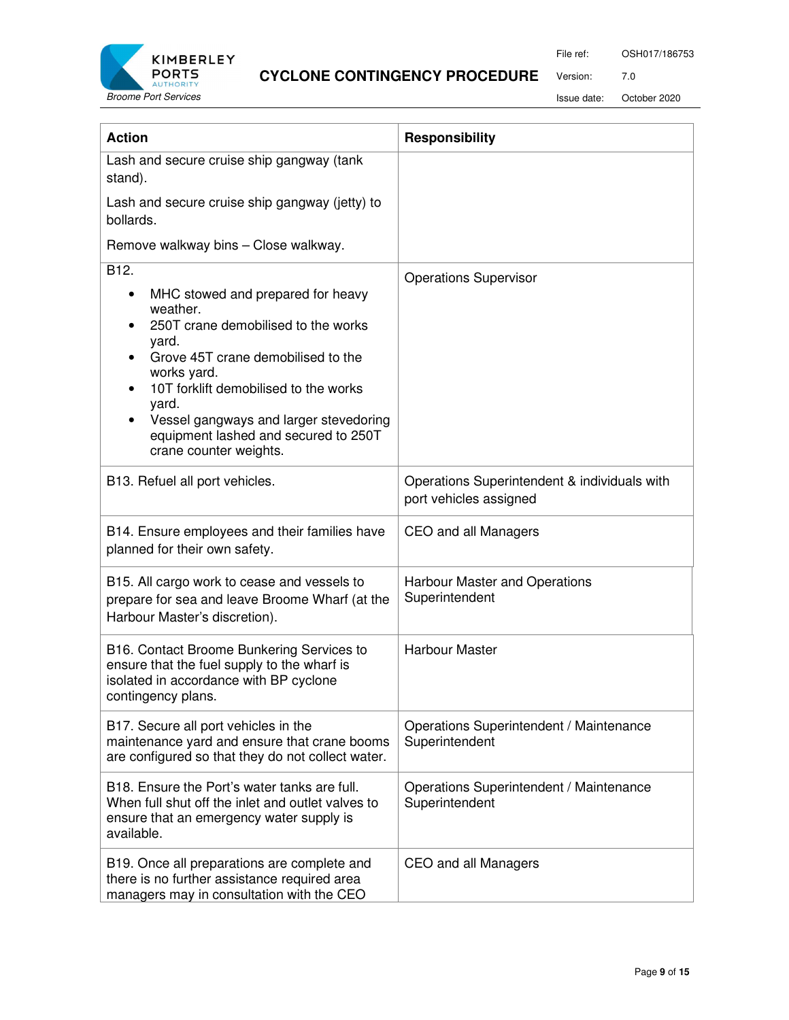

File ref: OSH017/186753

Version: 7.0

Issue date: October 2020

| <b>Action</b>                                                                                                                                                                                                                                                                                                            | <b>Responsibility</b>                                                  |
|--------------------------------------------------------------------------------------------------------------------------------------------------------------------------------------------------------------------------------------------------------------------------------------------------------------------------|------------------------------------------------------------------------|
| Lash and secure cruise ship gangway (tank<br>stand).                                                                                                                                                                                                                                                                     |                                                                        |
| Lash and secure cruise ship gangway (jetty) to<br>bollards.                                                                                                                                                                                                                                                              |                                                                        |
| Remove walkway bins - Close walkway.                                                                                                                                                                                                                                                                                     |                                                                        |
| B12.<br>MHC stowed and prepared for heavy<br>weather.<br>250T crane demobilised to the works<br>yard.<br>Grove 45T crane demobilised to the<br>works yard.<br>10T forklift demobilised to the works<br>yard.<br>Vessel gangways and larger stevedoring<br>equipment lashed and secured to 250T<br>crane counter weights. | <b>Operations Supervisor</b>                                           |
| B13. Refuel all port vehicles.                                                                                                                                                                                                                                                                                           | Operations Superintendent & individuals with<br>port vehicles assigned |
| B14. Ensure employees and their families have<br>planned for their own safety.                                                                                                                                                                                                                                           | CEO and all Managers                                                   |
| B15. All cargo work to cease and vessels to<br>prepare for sea and leave Broome Wharf (at the<br>Harbour Master's discretion).                                                                                                                                                                                           | Harbour Master and Operations<br>Superintendent                        |
| B16. Contact Broome Bunkering Services to<br>ensure that the fuel supply to the wharf is<br>isolated in accordance with BP cyclone<br>contingency plans.                                                                                                                                                                 | <b>Harbour Master</b>                                                  |
| B17. Secure all port vehicles in the<br>maintenance yard and ensure that crane booms<br>are configured so that they do not collect water.                                                                                                                                                                                | Operations Superintendent / Maintenance<br>Superintendent              |
| B18. Ensure the Port's water tanks are full.<br>When full shut off the inlet and outlet valves to<br>ensure that an emergency water supply is<br>available.                                                                                                                                                              | Operations Superintendent / Maintenance<br>Superintendent              |
| B19. Once all preparations are complete and<br>there is no further assistance required area<br>managers may in consultation with the CEO                                                                                                                                                                                 | CEO and all Managers                                                   |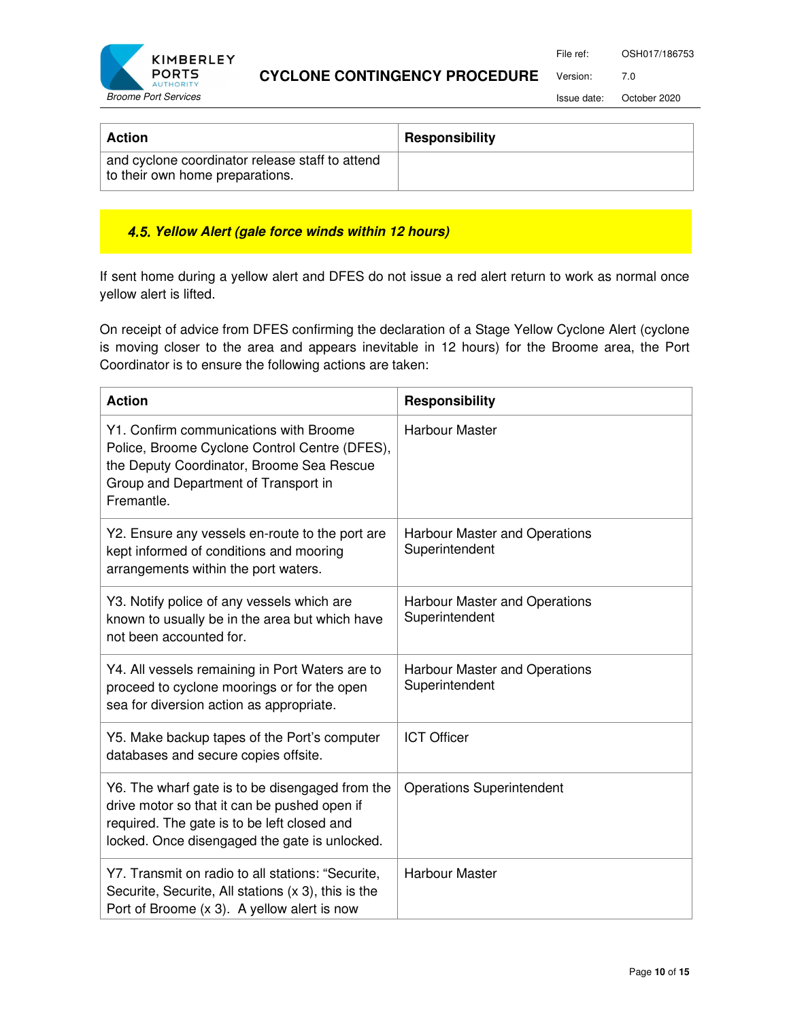File ref: OSH017/186753



#### **CYCLONE CONTINGENCY PROCEDURE**

Issue date: October 2020

Version: 7.0

| <b>Action</b>                                                                      | <b>Responsibility</b> |
|------------------------------------------------------------------------------------|-----------------------|
| and cyclone coordinator release staff to attend<br>to their own home preparations. |                       |

#### **4.5. Yellow Alert (gale force winds within 12 hours)**

If sent home during a yellow alert and DFES do not issue a red alert return to work as normal once yellow alert is lifted.

On receipt of advice from DFES confirming the declaration of a Stage Yellow Cyclone Alert (cyclone is moving closer to the area and appears inevitable in 12 hours) for the Broome area, the Port Coordinator is to ensure the following actions are taken:

| <b>Action</b>                                                                                                                                                                                   | <b>Responsibility</b>                                  |
|-------------------------------------------------------------------------------------------------------------------------------------------------------------------------------------------------|--------------------------------------------------------|
| Y1. Confirm communications with Broome<br>Police, Broome Cyclone Control Centre (DFES),<br>the Deputy Coordinator, Broome Sea Rescue<br>Group and Department of Transport in<br>Fremantle.      | <b>Harbour Master</b>                                  |
| Y2. Ensure any vessels en-route to the port are<br>kept informed of conditions and mooring<br>arrangements within the port waters.                                                              | <b>Harbour Master and Operations</b><br>Superintendent |
| Y3. Notify police of any vessels which are<br>known to usually be in the area but which have<br>not been accounted for.                                                                         | Harbour Master and Operations<br>Superintendent        |
| Y4. All vessels remaining in Port Waters are to<br>proceed to cyclone moorings or for the open<br>sea for diversion action as appropriate.                                                      | <b>Harbour Master and Operations</b><br>Superintendent |
| Y5. Make backup tapes of the Port's computer<br>databases and secure copies offsite.                                                                                                            | <b>ICT Officer</b>                                     |
| Y6. The wharf gate is to be disengaged from the<br>drive motor so that it can be pushed open if<br>required. The gate is to be left closed and<br>locked. Once disengaged the gate is unlocked. | <b>Operations Superintendent</b>                       |
| Y7. Transmit on radio to all stations: "Securite,<br>Securite, Securite, All stations (x 3), this is the<br>Port of Broome (x 3). A yellow alert is now                                         | <b>Harbour Master</b>                                  |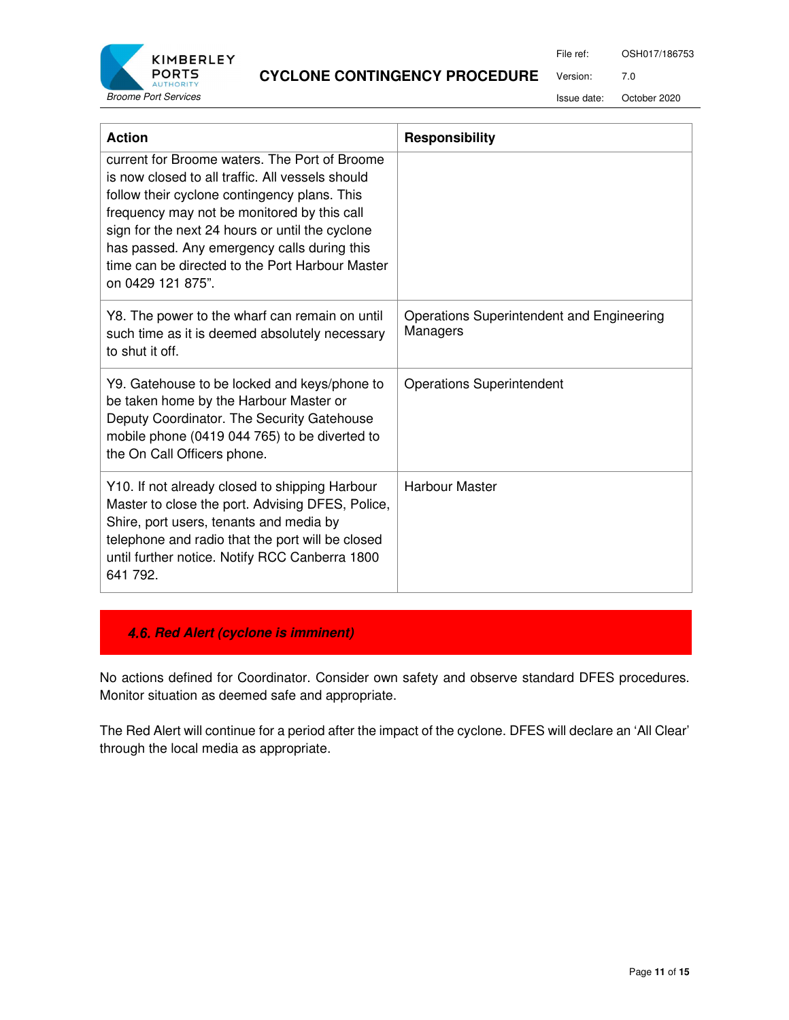

Version: 7.0

Issue date: October 2020

| <b>Action</b>                                                                                                                                                                                                                                                                                                                                                              | <b>Responsibility</b>                                 |
|----------------------------------------------------------------------------------------------------------------------------------------------------------------------------------------------------------------------------------------------------------------------------------------------------------------------------------------------------------------------------|-------------------------------------------------------|
| current for Broome waters. The Port of Broome<br>is now closed to all traffic. All vessels should<br>follow their cyclone contingency plans. This<br>frequency may not be monitored by this call<br>sign for the next 24 hours or until the cyclone<br>has passed. Any emergency calls during this<br>time can be directed to the Port Harbour Master<br>on 0429 121 875". |                                                       |
| Y8. The power to the wharf can remain on until<br>such time as it is deemed absolutely necessary<br>to shut it off.                                                                                                                                                                                                                                                        | Operations Superintendent and Engineering<br>Managers |
| Y9. Gatehouse to be locked and keys/phone to<br>be taken home by the Harbour Master or<br>Deputy Coordinator. The Security Gatehouse<br>mobile phone (0419 044 765) to be diverted to<br>the On Call Officers phone.                                                                                                                                                       | <b>Operations Superintendent</b>                      |
| Y10. If not already closed to shipping Harbour<br>Master to close the port. Advising DFES, Police,<br>Shire, port users, tenants and media by<br>telephone and radio that the port will be closed<br>until further notice. Notify RCC Canberra 1800<br>641 792.                                                                                                            | <b>Harbour Master</b>                                 |

# **4.6. Red Alert (cyclone is imminent)**

No actions defined for Coordinator. Consider own safety and observe standard DFES procedures. Monitor situation as deemed safe and appropriate.

The Red Alert will continue for a period after the impact of the cyclone. DFES will declare an 'All Clear' through the local media as appropriate.

File ref: OSH017/186753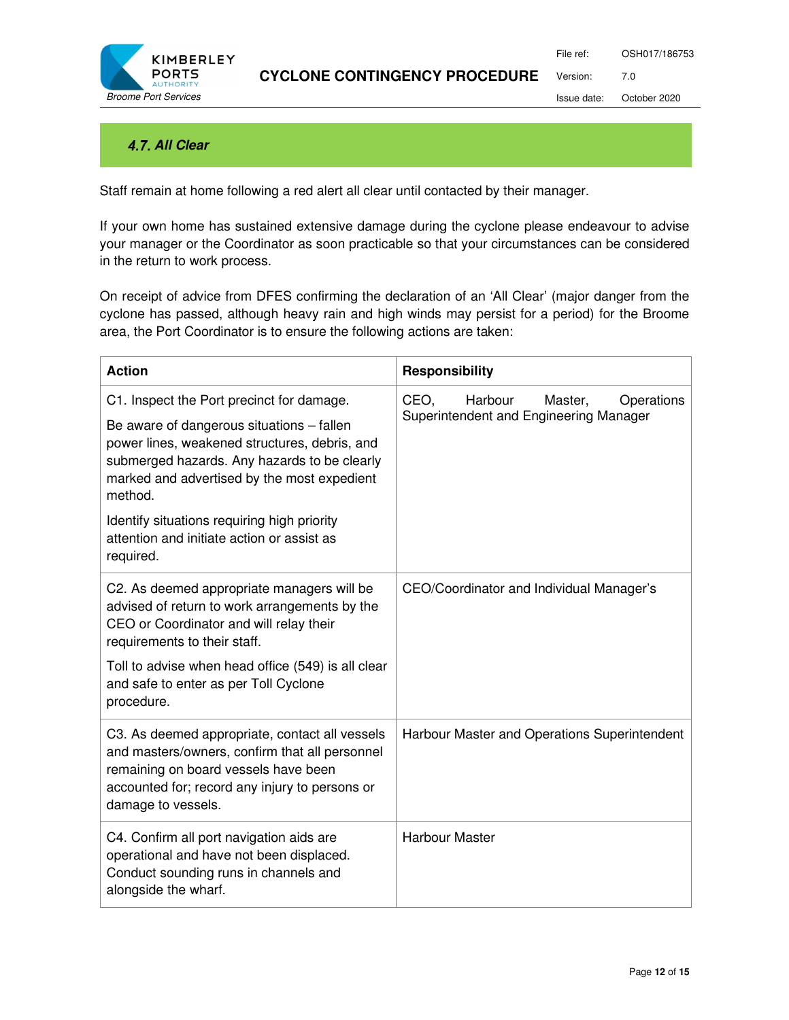

File ref: OSH017/186753 Version: 7.0

Issue date: October 2020

# **4.7. All Clear**

Staff remain at home following a red alert all clear until contacted by their manager.

If your own home has sustained extensive damage during the cyclone please endeavour to advise your manager or the Coordinator as soon practicable so that your circumstances can be considered in the return to work process.

On receipt of advice from DFES confirming the declaration of an 'All Clear' (major danger from the cyclone has passed, although heavy rain and high winds may persist for a period) for the Broome area, the Port Coordinator is to ensure the following actions are taken:

| <b>Action</b>                                                                                                                                                                                                                                                                                                                                               | <b>Responsibility</b>                                                              |
|-------------------------------------------------------------------------------------------------------------------------------------------------------------------------------------------------------------------------------------------------------------------------------------------------------------------------------------------------------------|------------------------------------------------------------------------------------|
| C1. Inspect the Port precinct for damage.<br>Be aware of dangerous situations - fallen<br>power lines, weakened structures, debris, and<br>submerged hazards. Any hazards to be clearly<br>marked and advertised by the most expedient<br>method.<br>Identify situations requiring high priority<br>attention and initiate action or assist as<br>required. | CEO,<br>Harbour<br>Master,<br>Operations<br>Superintendent and Engineering Manager |
| C2. As deemed appropriate managers will be<br>advised of return to work arrangements by the<br>CEO or Coordinator and will relay their<br>requirements to their staff.<br>Toll to advise when head office (549) is all clear<br>and safe to enter as per Toll Cyclone<br>procedure.                                                                         | CEO/Coordinator and Individual Manager's                                           |
| C3. As deemed appropriate, contact all vessels<br>and masters/owners, confirm that all personnel<br>remaining on board vessels have been<br>accounted for; record any injury to persons or<br>damage to vessels.                                                                                                                                            | Harbour Master and Operations Superintendent                                       |
| C4. Confirm all port navigation aids are<br>operational and have not been displaced.<br>Conduct sounding runs in channels and<br>alongside the wharf.                                                                                                                                                                                                       | <b>Harbour Master</b>                                                              |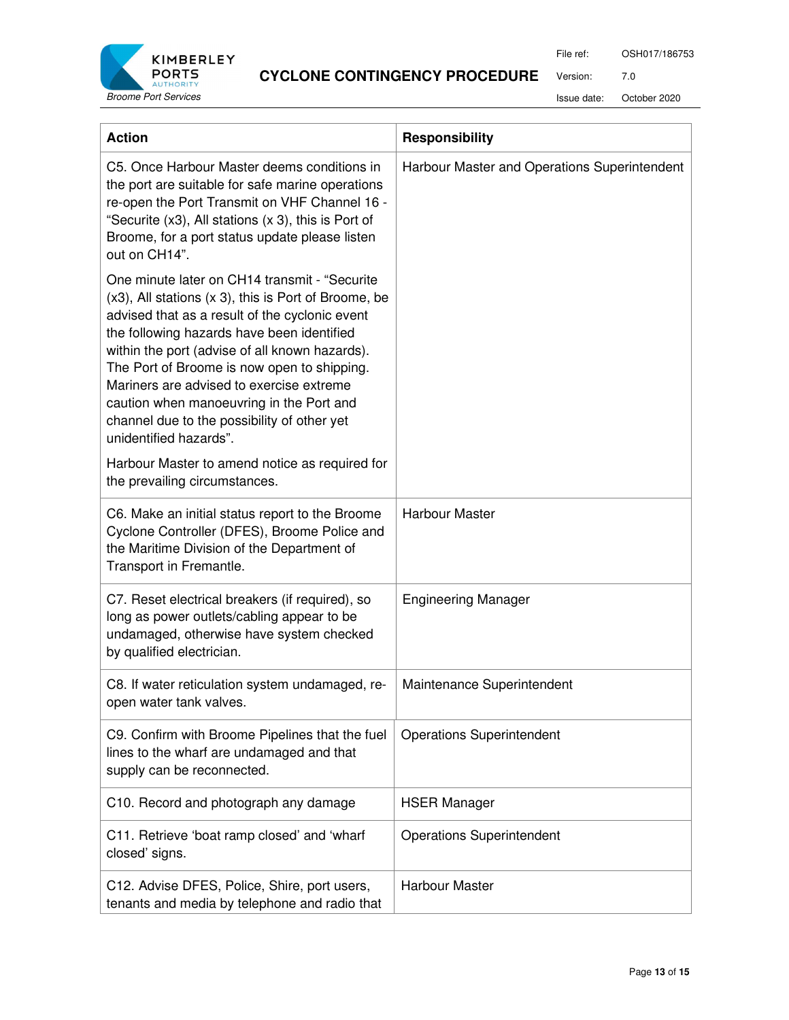

File ref: OSH017/186753

Version: 7.0

Issue date: October 2020

| <b>Action</b>                                                                                                                                                                                                                                                                                                                                                                                                                                                                                                                    | <b>Responsibility</b>                        |
|----------------------------------------------------------------------------------------------------------------------------------------------------------------------------------------------------------------------------------------------------------------------------------------------------------------------------------------------------------------------------------------------------------------------------------------------------------------------------------------------------------------------------------|----------------------------------------------|
| C5. Once Harbour Master deems conditions in<br>the port are suitable for safe marine operations<br>re-open the Port Transmit on VHF Channel 16 -<br>"Securite (x3), All stations (x 3), this is Port of<br>Broome, for a port status update please listen<br>out on CH14".                                                                                                                                                                                                                                                       | Harbour Master and Operations Superintendent |
| One minute later on CH14 transmit - "Securite"<br>$(x3)$ , All stations $(x 3)$ , this is Port of Broome, be<br>advised that as a result of the cyclonic event<br>the following hazards have been identified<br>within the port (advise of all known hazards).<br>The Port of Broome is now open to shipping.<br>Mariners are advised to exercise extreme<br>caution when manoeuvring in the Port and<br>channel due to the possibility of other yet<br>unidentified hazards".<br>Harbour Master to amend notice as required for |                                              |
| the prevailing circumstances.                                                                                                                                                                                                                                                                                                                                                                                                                                                                                                    |                                              |
| C6. Make an initial status report to the Broome<br>Cyclone Controller (DFES), Broome Police and<br>the Maritime Division of the Department of<br>Transport in Fremantle.                                                                                                                                                                                                                                                                                                                                                         | <b>Harbour Master</b>                        |
| C7. Reset electrical breakers (if required), so<br>long as power outlets/cabling appear to be<br>undamaged, otherwise have system checked<br>by qualified electrician.                                                                                                                                                                                                                                                                                                                                                           | <b>Engineering Manager</b>                   |
| C8. If water reticulation system undamaged, re-<br>open water tank valves.                                                                                                                                                                                                                                                                                                                                                                                                                                                       | Maintenance Superintendent                   |
| C9. Confirm with Broome Pipelines that the fuel<br>lines to the wharf are undamaged and that<br>supply can be reconnected.                                                                                                                                                                                                                                                                                                                                                                                                       | <b>Operations Superintendent</b>             |
| C10. Record and photograph any damage                                                                                                                                                                                                                                                                                                                                                                                                                                                                                            | <b>HSER Manager</b>                          |
| C11. Retrieve 'boat ramp closed' and 'wharf<br>closed' signs.                                                                                                                                                                                                                                                                                                                                                                                                                                                                    | <b>Operations Superintendent</b>             |
| C12. Advise DFES, Police, Shire, port users,<br>tenants and media by telephone and radio that                                                                                                                                                                                                                                                                                                                                                                                                                                    | <b>Harbour Master</b>                        |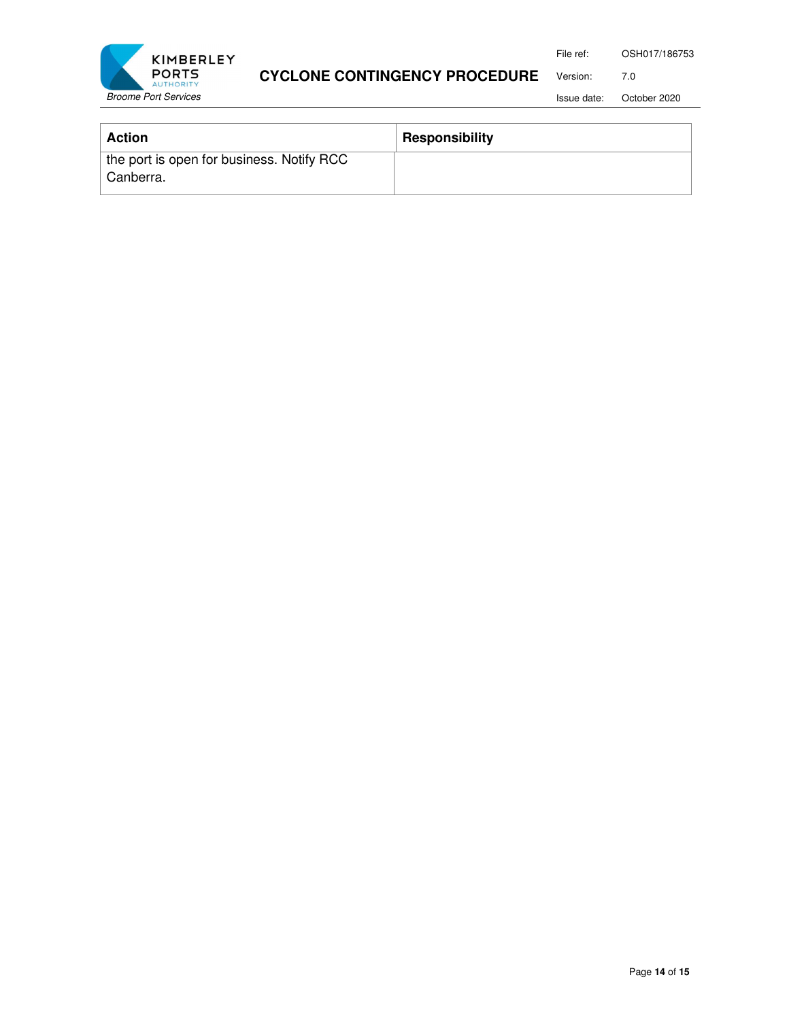File ref: OSH017/186753



# **CYCLONE CONTINGENCY PROCEDURE**

Issue date: October 2020

Version: 7.0

| <b>Action</b>                                          | <b>Responsibility</b> |
|--------------------------------------------------------|-----------------------|
| the port is open for business. Notify RCC<br>Canberra. |                       |